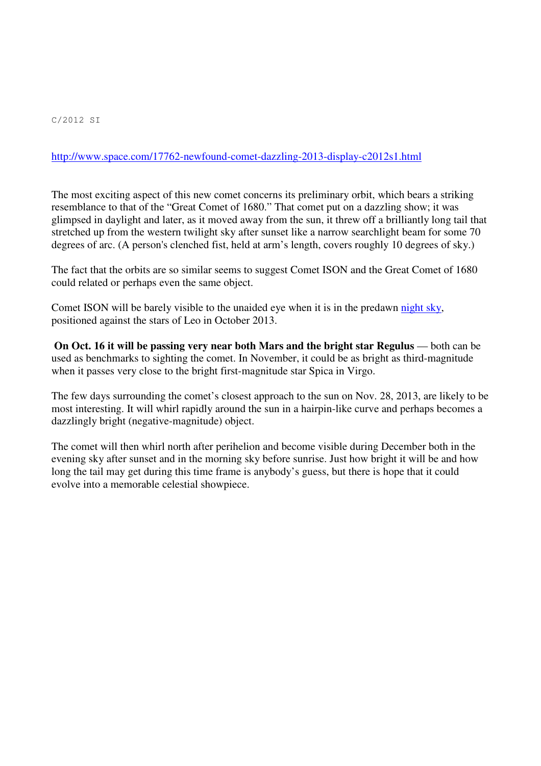## http://www.space.com/17762-newfound-comet-dazzling-2013-display-c2012s1.html

The most exciting aspect of this new comet concerns its preliminary orbit, which bears a striking resemblance to that of the "Great Comet of 1680." That comet put on a dazzling show; it was glimpsed in daylight and later, as it moved away from the sun, it threw off a brilliantly long tail that stretched up from the western twilight sky after sunset like a narrow searchlight beam for some 70 degrees of arc. (A person's clenched fist, held at arm's length, covers roughly 10 degrees of sky.)

The fact that the orbits are so similar seems to suggest Comet ISON and the Great Comet of 1680 could related or perhaps even the same object.

Comet ISON will be barely visible to the unaided eye when it is in the predawn night sky, positioned against the stars of Leo in October 2013.

**On Oct. 16 it will be passing very near both Mars and the bright star Regulus** — both can be used as benchmarks to sighting the comet. In November, it could be as bright as third-magnitude when it passes very close to the bright first-magnitude star Spica in Virgo.

The few days surrounding the comet's closest approach to the sun on Nov. 28, 2013, are likely to be most interesting. It will whirl rapidly around the sun in a hairpin-like curve and perhaps becomes a dazzlingly bright (negative-magnitude) object.

The comet will then whirl north after perihelion and become visible during December both in the evening sky after sunset and in the morning sky before sunrise. Just how bright it will be and how long the tail may get during this time frame is anybody's guess, but there is hope that it could evolve into a memorable celestial showpiece.